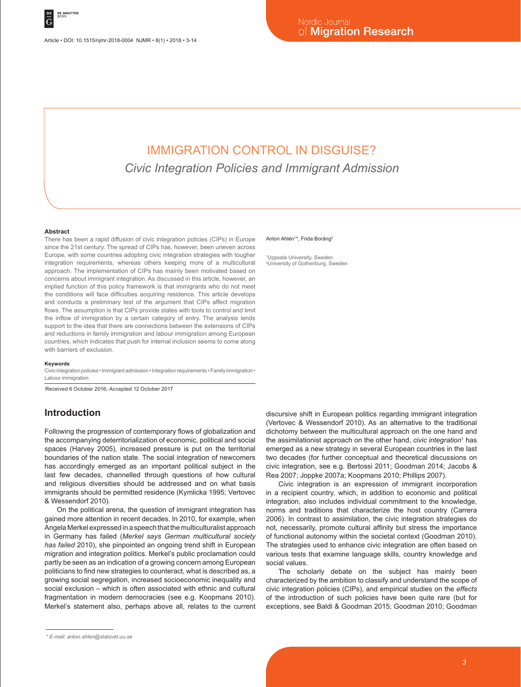# IMMIGRATION CONTROL IN DISGUISE? *Civic Integration Policies and Immigrant Admission*

#### **Abstract**

There has been a rapid diffusion of civic integration policies (CIPs) in Europe since the 21st century. The spread of CIPs has, however, been uneven across Europe, with some countries adopting civic integration strategies with tougher integration requirements, whereas others keeping more of a multicultural approach. The implementation of CIPs has mainly been motivated based on concerns about immigrant integration. As discussed in this article, however, an implied function of this policy framework is that immigrants who do not meet the conditions will face difficulties acquiring residence. This article develops and conducts a preliminary test of the argument that CIPs affect migration flows. The assumption is that CIPs provide states with tools to control and limit the inflow of immigration by a certain category of entry. The analysis lends support to the idea that there are connections between the extensions of CIPs and reductions in family immigration and labour immigration among European countries, which indicates that push for internal inclusion seems to come along with barriers of exclusion.

#### **Keywords**

Civic integration policies • Immigrant admission • Integration requirements • Family immigration • Labour immigration

Received 6 October 2016; Accepted 12 October 2017

### **Introduction**

Following the progression of contemporary flows of globalization and the accompanying deterritorialization of economic, political and social spaces (Harvey 2005), increased pressure is put on the territorial boundaries of the nation state. The social integration of newcomers has accordingly emerged as an important political subject in the last few decades, channelled through questions of how cultural and religious diversities should be addressed and on what basis immigrants should be permitted residence (Kymlicka 1995; Vertovec & Wessendorf 2010).

On the political arena, the question of immigrant integration has gained more attention in recent decades. In 2010, for example, when Angela Merkel expressed in a speech that the multiculturalist approach in Germany has failed (*Merkel says German multicultural society has failed* 2010), she pinpointed an ongoing trend shift in European migration and integration politics. Merkel's public proclamation could partly be seen as an indication of a growing concern among European politicians to find new strategies to counteract, what is described as, a growing social segregation, increased socioeconomic inequality and social exclusion – which is often associated with ethnic and cultural fragmentation in modern democracies (see e.g. Koopmans 2010). Merkel's statement also, perhaps above all, relates to the current

#### Anton Ahlén<sup>1\*</sup>, Frida Boräng<sup>2</sup>

1 Uppsala University, Sweden 2 University of Gothenburg, Sweden

discursive shift in European politics regarding immigrant integration (Vertovec & Wessendorf 2010). As an alternative to the traditional dichotomy between the multicultural approach on the one hand and the assimilationist approach on the other hand, *civic integration*<sup>1</sup> has emerged as a new strategy in several European countries in the last two decades (for further conceptual and theoretical discussions on civic integration, see e.g. Bertossi 2011; Goodman 2014; Jacobs & Rea 2007; Joppke 2007a; Koopmans 2010; Phillips 2007).

Civic integration is an expression of immigrant incorporation in a recipient country, which, in addition to economic and political integration, also includes individual commitment to the knowledge, norms and traditions that characterize the host country (Carrera 2006). In contrast to assimilation, the civic integration strategies do not, necessarily, promote cultural affinity but stress the importance of functional autonomy within the societal context (Goodman 2010). The strategies used to enhance civic integration are often based on various tests that examine language skills, country knowledge and social values.

The scholarly debate on the subject has mainly been characterized by the ambition to classify and understand the scope of civic integration policies (CIPs), and empirical studies on the *effects* of the introduction of such policies have been quite rare (but for exceptions, see Baldi & Goodman 2015; Goodman 2010; Goodman

*<sup>\*</sup> E-mail: anton.ahlen@statsvet.uu.se*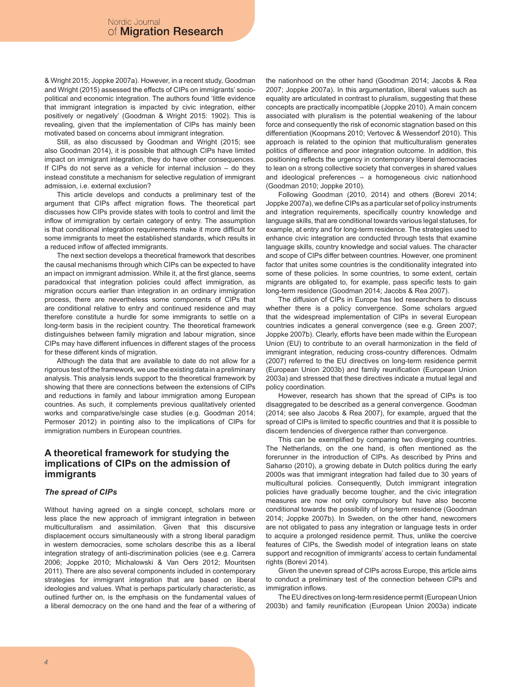& Wright 2015; Joppke 2007a). However, in a recent study, Goodman and Wright (2015) assessed the effects of CIPs on immigrants' sociopolitical and economic integration. The authors found 'little evidence that immigrant integration is impacted by civic integration, either positively or negatively' (Goodman & Wright 2015: 1902). This is revealing, given that the implementation of CIPs has mainly been motivated based on concerns about immigrant integration.

Still, as also discussed by Goodman and Wright (2015; see also Goodman 2014), it is possible that although CIPs have limited impact on immigrant integration, they do have other consequences. If CIPs do not serve as a vehicle for internal inclusion – do they instead constitute a mechanism for selective regulation of immigrant admission, i.e. external exclusion?

This article develops and conducts a preliminary test of the argument that CIPs affect migration flows. The theoretical part discusses how CIPs provide states with tools to control and limit the inflow of immigration by certain category of entry. The assumption is that conditional integration requirements make it more difficult for some immigrants to meet the established standards, which results in a reduced inflow of affected immigrants.

The next section develops a theoretical framework that describes the causal mechanisms through which CIPs can be expected to have an impact on immigrant admission. While it, at the first glance, seems paradoxical that integration policies could affect immigration, as migration occurs earlier than integration in an ordinary immigration process, there are nevertheless some components of CIPs that are conditional relative to entry and continued residence and may therefore constitute a hurdle for some immigrants to settle on a long-term basis in the recipient country. The theoretical framework distinguishes between family migration and labour migration, since CIPs may have different influences in different stages of the process for these different kinds of migration.

Although the data that are available to date do not allow for a rigorous test of the framework, we use the existing data in a preliminary analysis. This analysis lends support to the theoretical framework by showing that there are connections between the extensions of CIPs and reductions in family and labour immigration among European countries. As such, it complements previous qualitatively oriented works and comparative/single case studies (e.g. Goodman 2014; Permoser 2012) in pointing also to the implications of CIPs for immigration numbers in European countries.

### **A theoretical framework for studying the implications of CIPs on the admission of immigrants**

### *The spread of CIPs*

Without having agreed on a single concept, scholars more or less place the new approach of immigrant integration in between multiculturalism and assimilation. Given that this discursive displacement occurs simultaneously with a strong liberal paradigm in western democracies, some scholars describe this as a liberal integration strategy of anti-discrimination policies (see e.g. Carrera 2006; Joppke 2010; Michalowski & Van Oers 2012; Mouritsen 2011). There are also several components included in contemporary strategies for immigrant integration that are based on liberal ideologies and values. What is perhaps particularly characteristic, as outlined further on, is the emphasis on the fundamental values of a liberal democracy on the one hand and the fear of a withering of

the nationhood on the other hand (Goodman 2014; Jacobs & Rea 2007; Joppke 2007a). In this argumentation, liberal values such as equality are articulated in contrast to pluralism, suggesting that these concepts are practically incompatible (Joppke 2010). A main concern associated with pluralism is the potential weakening of the labour force and consequently the risk of economic stagnation based on this differentiation (Koopmans 2010; Vertovec & Wessendorf 2010). This approach is related to the opinion that multiculturalism generates politics of difference and poor integration outcome. In addition, this positioning reflects the urgency in contemporary liberal democracies to lean on a strong collective society that converges in shared values and ideological preferences – a homogeneous civic nationhood (Goodman 2010; Joppke 2010).

Following Goodman (2010, 2014) and others (Borevi 2014; Joppke 2007a), we define CIPs as a particular set of policy instruments and integration requirements, specifically country knowledge and language skills, that are conditional towards various legal statuses, for example, at entry and for long-term residence. The strategies used to enhance civic integration are conducted through tests that examine language skills, country knowledge and social values. The character and scope of CIPs differ between countries. However, one prominent factor that unites some countries is the conditionality integrated into some of these policies. In some countries, to some extent, certain migrants are obligated to, for example, pass specific tests to gain long-term residence (Goodman 2014; Jacobs & Rea 2007).

The diffusion of CIPs in Europe has led researchers to discuss whether there is a policy convergence. Some scholars argued that the widespread implementation of CIPs in several European countries indicates a general convergence (see e.g. Green 2007; Joppke 2007b). Clearly, efforts have been made within the European Union (EU) to contribute to an overall harmonization in the field of immigrant integration, reducing cross-country differences. Odmalm (2007) referred to the EU directives on long-term residence permit (European Union 2003b) and family reunification (European Union 2003a) and stressed that these directives indicate a mutual legal and policy coordination.

However, research has shown that the spread of CIPs is too disaggregated to be described as a general convergence. Goodman (2014; see also Jacobs & Rea 2007), for example, argued that the spread of CIPs is limited to specific countries and that it is possible to discern tendencies of divergence rather than convergence.

This can be exemplified by comparing two diverging countries. The Netherlands, on the one hand, is often mentioned as the forerunner in the introduction of CIPs. As described by Prins and Saharso (2010), a growing debate in Dutch politics during the early 2000s was that immigrant integration had failed due to 30 years of multicultural policies. Consequently, Dutch immigrant integration policies have gradually become tougher, and the civic integration measures are now not only compulsory but have also become conditional towards the possibility of long-term residence (Goodman 2014; Joppke 2007b). In Sweden, on the other hand, newcomers are not obligated to pass any integration or language tests in order to acquire a prolonged residence permit. Thus, unlike the coercive features of CIPs, the Swedish model of integration leans on state support and recognition of immigrants' access to certain fundamental rights (Borevi 2014).

Given the uneven spread of CIPs across Europe, this article aims to conduct a preliminary test of the connection between CIPs and immigration inflows.

The EU directives on long-term residence permit (European Union 2003b) and family reunification (European Union 2003a) indicate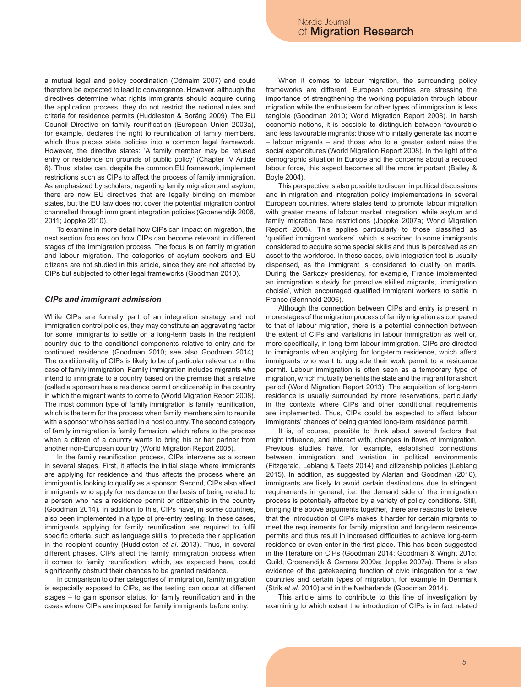a mutual legal and policy coordination (Odmalm 2007) and could therefore be expected to lead to convergence. However, although the directives determine what rights immigrants should acquire during the application process, they do not restrict the national rules and criteria for residence permits (Huddleston & Boräng 2009). The EU Council Directive on family reunification (European Union 2003a), for example, declares the right to reunification of family members, which thus places state policies into a common legal framework. However, the directive states: 'A family member may be refused entry or residence on grounds of public policy' (Chapter IV Article 6). Thus, states can, despite the common EU framework, implement restrictions such as CIPs to affect the process of family immigration. As emphasized by scholars, regarding family migration and asylum, there are now EU directives that are legally binding on member states, but the EU law does not cover the potential migration control channelled through immigrant integration policies (Groenendijk 2006, 2011; Joppke 2010).

To examine in more detail how CIPs can impact on migration, the next section focuses on how CIPs can become relevant in different stages of the immigration process. The focus is on family migration and labour migration. The categories of asylum seekers and EU citizens are not studied in this article, since they are not affected by CIPs but subjected to other legal frameworks (Goodman 2010).

#### *CIPs and immigrant admission*

While CIPs are formally part of an integration strategy and not immigration control policies, they may constitute an aggravating factor for some immigrants to settle on a long-term basis in the recipient country due to the conditional components relative to entry and for continued residence (Goodman 2010; see also Goodman 2014). The conditionality of CIPs is likely to be of particular relevance in the case of family immigration. Family immigration includes migrants who intend to immigrate to a country based on the premise that a relative (called a sponsor) has a residence permit or citizenship in the country in which the migrant wants to come to (World Migration Report 2008). The most common type of family immigration is family reunification, which is the term for the process when family members aim to reunite with a sponsor who has settled in a host country. The second category of family immigration is family formation, which refers to the process when a citizen of a country wants to bring his or her partner from another non-European country (World Migration Report 2008).

In the family reunification process, CIPs intervene as a screen in several stages. First, it affects the initial stage where immigrants are applying for residence and thus affects the process where an immigrant is looking to qualify as a sponsor. Second, CIPs also affect immigrants who apply for residence on the basis of being related to a person who has a residence permit or citizenship in the country (Goodman 2014). In addition to this, CIPs have, in some countries, also been implemented in a type of pre-entry testing. In these cases, immigrants applying for family reunification are required to fulfil specific criteria, such as language skills, to precede their application in the recipient country (Huddleston *et al*. 2013). Thus, in several different phases, CIPs affect the family immigration process when it comes to family reunification, which, as expected here, could significantly obstruct their chances to be granted residence.

In comparison to other categories of immigration, family migration is especially exposed to CIPs, as the testing can occur at different stages – to gain sponsor status, for family reunification and in the cases where CIPs are imposed for family immigrants before entry.

When it comes to labour migration, the surrounding policy frameworks are different. European countries are stressing the importance of strengthening the working population through labour migration while the enthusiasm for other types of immigration is less tangible (Goodman 2010; World Migration Report 2008). In harsh economic notions, it is possible to distinguish between favourable and less favourable migrants; those who initially generate tax income – labour migrants – and those who to a greater extent raise the social expenditures (World Migration Report 2008). In the light of the demographic situation in Europe and the concerns about a reduced labour force, this aspect becomes all the more important (Bailey & Boyle 2004).

This perspective is also possible to discern in political discussions and in migration and integration policy implementations in several European countries, where states tend to promote labour migration with greater means of labour market integration, while asylum and family migration face restrictions (Joppke 2007a; World Migration Report 2008). This applies particularly to those classified as 'qualified immigrant workers', which is ascribed to some immigrants considered to acquire some special skills and thus is perceived as an asset to the workforce. In these cases, civic integration test is usually dispensed, as the immigrant is considered to qualify on merits. During the Sarkozy presidency, for example, France implemented an immigration subsidy for proactive skilled migrants, 'immigration choisie', which encouraged qualified immigrant workers to settle in France (Bennhold 2006).

Although the connection between CIPs and entry is present in more stages of the migration process of family migration as compared to that of labour migration, there is a potential connection between the extent of CIPs and variations in labour immigration as well or, more specifically, in long-term labour immigration. CIPs are directed to immigrants when applying for long-term residence, which affect immigrants who want to upgrade their work permit to a residence permit. Labour immigration is often seen as a temporary type of migration, which mutually benefits the state and the migrant for a short period (World Migration Report 2013). The acquisition of long-term residence is usually surrounded by more reservations, particularly in the contexts where CIPs and other conditional requirements are implemented. Thus, CIPs could be expected to affect labour immigrants' chances of being granted long-term residence permit.

It is, of course, possible to think about several factors that might influence, and interact with, changes in flows of immigration. Previous studies have, for example, established connections between immigration and variation in political environments (Fitzgerald, Leblang & Teets 2014) and citizenship policies (Leblang 2015). In addition, as suggested by Alarian and Goodman (2016), immigrants are likely to avoid certain destinations due to stringent requirements in general, i.e. the demand side of the immigration process is potentially affected by a variety of policy conditions. Still, bringing the above arguments together, there are reasons to believe that the introduction of CIPs makes it harder for certain migrants to meet the requirements for family migration and long-term residence permits and thus result in increased difficulties to achieve long-term residence or even enter in the first place. This has been suggested in the literature on CIPs (Goodman 2014; Goodman & Wright 2015; Guild, Groenendijk & Carrera 2009a; Joppke 2007a). There is also evidence of the gatekeeping function of civic integration for a few countries and certain types of migration, for example in Denmark (Strik *et al.* 2010) and in the Netherlands (Goodman 2014).

This article aims to contribute to this line of investigation by examining to which extent the introduction of CIPs is in fact related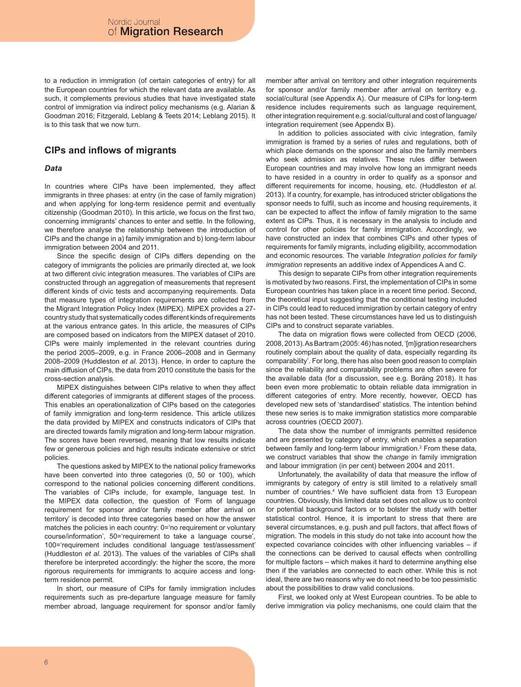to a reduction in immigration (of certain categories of entry) for all the European countries for which the relevant data are available. As such, it complements previous studies that have investigated state control of immigration via indirect policy mechanisms (e.g. Alarian & Goodman 2016; Fitzgerald, Leblang & Teets 2014; Leblang 2015). It is to this task that we now turn.

### **CIPs and inflows of migrants**

### *Data*

In countries where CIPs have been implemented, they affect immigrants in three phases: at entry (in the case of family migration) and when applying for long-term residence permit and eventually citizenship (Goodman 2010). In this article, we focus on the first two, concerning immigrants' chances to enter and settle. In the following, we therefore analyse the relationship between the introduction of CIPs and the change in a) family immigration and b) long-term labour immigration between 2004 and 2011.

Since the specific design of CIPs differs depending on the category of immigrants the policies are primarily directed at, we look at two different civic integration measures. The variables of CIPs are constructed through an aggregation of measurements that represent different kinds of civic tests and accompanying requirements. Data that measure types of integration requirements are collected from the Migrant Integration Policy Index (MIPEX). MIPEX provides a 27 country study that systematically codes different kinds of requirements at the various entrance gates. In this article, the measures of CIPs are composed based on indicators from the MIPEX dataset of 2010. CIPs were mainly implemented in the relevant countries during the period 2005–2009, e.g. in France 2006–2008 and in Germany 2008–2009 (Huddleston *et al*. 2013). Hence, in order to capture the main diffusion of CIPs, the data from 2010 constitute the basis for the cross-section analysis.

MIPEX distinguishes between CIPs relative to when they affect different categories of immigrants at different stages of the process. This enables an operationalization of CIPs based on the categories of family immigration and long-term residence. This article utilizes the data provided by MIPEX and constructs indicators of CIPs that are directed towards family migration and long-term labour migration. The scores have been reversed, meaning that low results indicate few or generous policies and high results indicate extensive or strict policies.

The questions asked by MIPEX to the national policy frameworks have been converted into three categories (0, 50 or 100), which correspond to the national policies concerning different conditions. The variables of CIPs include, for example, language test. In the MIPEX data collection, the question of 'Form of language requirement for sponsor and/or family member after arrival on territory' is decoded into three categories based on how the answer matches the policies in each country: 0='no requirement or voluntary course/information', 50='requirement to take a language course', 100='requirement includes conditional language test/assessment' (Huddleston *et al*. 2013). The values of the variables of CIPs shall therefore be interpreted accordingly: the higher the score, the more rigorous requirements for immigrants to acquire access and longterm residence permit.

In short, our measure of CIPs for family immigration includes requirements such as pre-departure language measure for family member abroad, language requirement for sponsor and/or family member after arrival on territory and other integration requirements for sponsor and/or family member after arrival on territory e.g. social/cultural (see Appendix A). Our measure of CIPs for long-term residence includes requirements such as language requirement, other integration requirement e.g. social/cultural and cost of language/ integration requirement (see Appendix B).

In addition to policies associated with civic integration, family immigration is framed by a series of rules and regulations, both of which place demands on the sponsor and also the family members who seek admission as relatives. These rules differ between European countries and may involve how long an immigrant needs to have resided in a country in order to qualify as a sponsor and different requirements for income, housing, etc. (Huddleston *et al*. 2013). If a country, for example, has introduced stricter obligations the sponsor needs to fulfil, such as income and housing requirements, it can be expected to affect the inflow of family migration to the same extent as CIPs. Thus, it is necessary in the analysis to include and control for other policies for family immigration. Accordingly, we have constructed an index that combines CIPs and other types of requirements for family migrants, including eligibility, accommodation and economic resources. The variable *Integration policies for family immigration* represents an additive index of Appendices A and C.

This design to separate CIPs from other integration requirements is motivated by two reasons. First, the implementation of CIPs in some European countries has taken place in a recent time period. Second, the theoretical input suggesting that the conditional testing included in CIPs could lead to reduced immigration by certain category of entry has not been tested. These circumstances have led us to distinguish CIPs and to construct separate variables.

The data on migration flows were collected from OECD (2006, 2008, 2013). As Bartram (2005: 46) has noted, '[m]igration researchers routinely complain about the quality of data, especially regarding its comparability'. For long, there has also been good reason to complain since the reliability and comparability problems are often severe for the available data (for a discussion, see e.g. Boräng 2018). It has been even more problematic to obtain reliable data immigration in different categories of entry. More recently, however, OECD has developed new sets of 'standardised' statistics. The intention behind these new series is to make immigration statistics more comparable across countries (OECD 2007).

The data show the number of immigrants permitted residence and are presented by category of entry, which enables a separation between family and long-term labour immigration.<sup>2</sup> From these data, we construct variables that show the *change* in family immigration and labour immigration (in per cent) between 2004 and 2011.

Unfortunately, the availability of data that measure the inflow of immigrants by category of entry is still limited to a relatively small number of countries.4 We have sufficient data from 13 European countries. Obviously, this limited data set does not allow us to control for potential background factors or to bolster the study with better statistical control. Hence, it is important to stress that there are several circumstances, e.g. push and pull factors, that affect flows of migration. The models in this study do not take into account how the expected covariance coincides with other influencing variables – if the connections can be derived to causal effects when controlling for multiple factors – which makes it hard to determine anything else then if the variables are connected to each other. While this is not ideal, there are two reasons why we do not need to be too pessimistic about the possibilities to draw valid conclusions.

First, we looked only at West European countries. To be able to derive immigration via policy mechanisms, one could claim that the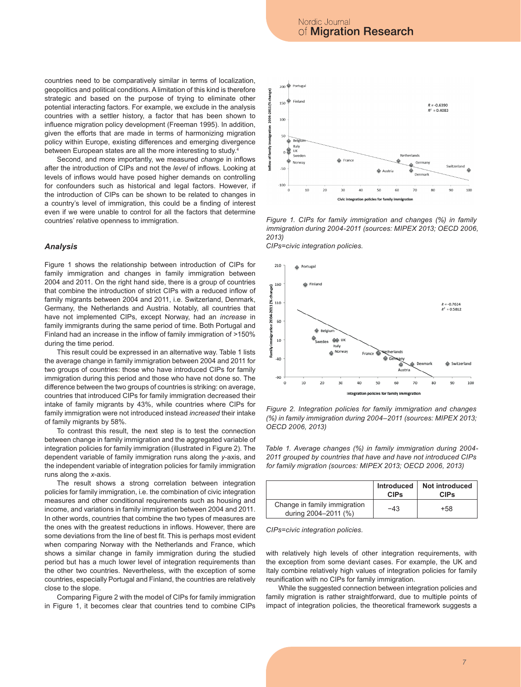countries need to be comparatively similar in terms of localization, geopolitics and political conditions. A limitation of this kind is therefore strategic and based on the purpose of trying to eliminate other potential interacting factors. For example, we exclude in the analysis countries with a settler history, a factor that has been shown to influence migration policy development (Freeman 1995). In addition, given the efforts that are made in terms of harmonizing migration policy within Europe, existing differences and emerging divergence between European states are all the more interesting to study.4

Second, and more importantly, we measured *change* in inflows after the introduction of CIPs and not the *level* of inflows. Looking at levels of inflows would have posed higher demands on controlling for confounders such as historical and legal factors. However, if the introduction of CIPs can be shown to be related to changes in a country's level of immigration, this could be a finding of interest even if we were unable to control for all the factors that determine countries' relative openness to immigration.

### *Analysis*

Figure 1 shows the relationship between introduction of CIPs for family immigration and changes in family immigration between 2004 and 2011. On the right hand side, there is a group of countries that combine the introduction of strict CIPs with a reduced inflow of family migrants between 2004 and 2011, i.e. Switzerland, Denmark, Germany, the Netherlands and Austria. Notably, all countries that have not implemented CIPs, except Norway, had an *increase* in family immigrants during the same period of time. Both Portugal and Finland had an increase in the inflow of family immigration of >150% during the time period.

This result could be expressed in an alternative way. Table 1 lists the average change in family immigration between 2004 and 2011 for two groups of countries: those who have introduced CIPs for family immigration during this period and those who have not done so. The difference between the two groups of countries is striking: on average, countries that introduced CIPs for family immigration decreased their intake of family migrants by 43%, while countries where CIPs for family immigration were not introduced instead *increased* their intake of family migrants by 58%.

To contrast this result, the next step is to test the connection between change in family immigration and the aggregated variable of integration policies for family immigration (illustrated in Figure 2). The dependent variable of family immigration runs along the *y*-axis, and the independent variable of integration policies for family immigration runs along the *x*-axis.

The result shows a strong correlation between integration policies for family immigration, i.e. the combination of civic integration measures and other conditional requirements such as housing and income, and variations in family immigration between 2004 and 2011. In other words, countries that combine the two types of measures are the ones with the greatest reductions in inflows. However, there are some deviations from the line of best fit. This is perhaps most evident when comparing Norway with the Netherlands and France, which shows a similar change in family immigration during the studied period but has a much lower level of integration requirements than the other two countries. Nevertheless, with the exception of some countries, especially Portugal and Finland, the countries are relatively close to the slope.

Comparing Figure 2 with the model of CIPs for family immigration in Figure 1, it becomes clear that countries tend to combine CIPs



Figure 1. CIPs for family immigration and changes (%) in family immigration during 2004-2011 (sources: MIPEX 2013; OECD 2006, family immigration during this period and this period and those who have not done so. The difference between the difference between the difference between the difference between the difference between the difference betwe *2013)*

two groups of countries is striking: on average, countries that introduced CIPs for family immigration *CIPs=civic integration policies.*



(%) in family immigration during 2004–2011 (sources: MIPEX 2013; Figure 2. Integration policies for family immigration and changes exception from some deviant cases. For example, the UK and Italy combine relatively high values of *OECD 2006, 2013)*

2011 grouped by countries that have and have not introduced CIPs *for family migration (sources: MIPEX 2013; OECD 2006, 2013) Table 1. Average changes (%) in family immigration during 2004-*

|                                                      | <b>CIPs</b> | Introduced   Not introduced<br><b>CIPs</b> |
|------------------------------------------------------|-------------|--------------------------------------------|
| Change in family immigration<br>during 2004-2011 (%) | -43         | +58                                        |

*CIPs=civic integration policies.*

with relatively high levels of other integration requirements, with the exception from some deviant cases. For example, the UK and Italy combine relatively high values of integration policies for family reunification with no CIPs for family immigration.

While the suggested connection between integration policies and family migration is rather straightforward, due to multiple points of impact of integration policies, the theoretical framework suggests a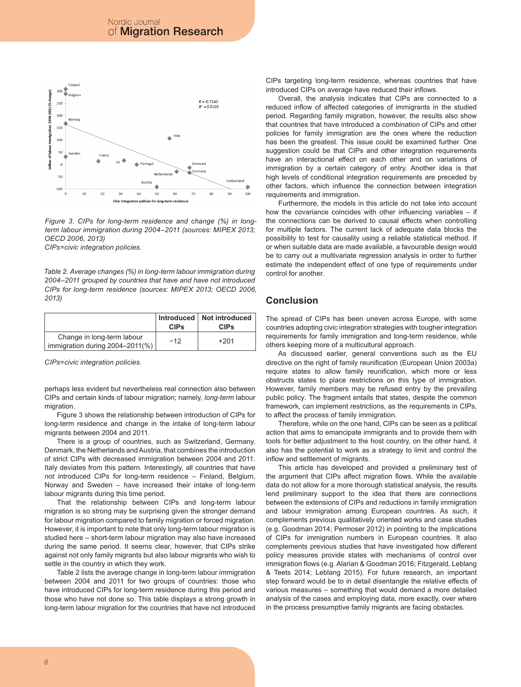

Figure 3. CIPs for long-term residence and change (%) in longterm labour immigration during 2004–2011 (sources: MIPEX 2013; However, it is important to note that only long-term labour migration is studied here – short-term *OECD 2006, 2013)*

CIPs=civic integration policies.

14 *CIPs for long-term residence (sources: MIPEX 2013; OECD 2006, Table 2. Average changes (%) in long-term labour immigration during 2004–2011 grouped by countries that have and have not introduced 2013)*

|                                                               | <b>CIPs</b> | Introduced   Not introduced<br><b>CIPs</b> |
|---------------------------------------------------------------|-------------|--------------------------------------------|
| Change in long-term labour<br>immigration during 2004-2011(%) | $-12$       | $+201$                                     |

*CIPs=civic integration policies.*

perhaps less evident but nevertheless real connection also between CIPs and certain kinds of labour migration; namely, *long-term* labour migration

Figure 3 shows the relationship between introduction of CIPs for long-term residence and change in the intake of long-term labour migrants between 2004 and 2011.

There is a group of countries, such as Switzerland, Germany, Denmark, the Netherlands and Austria, that combines the introduction of strict CIPs with decreased immigration between 2004 and 2011. Italy deviates from this pattern. Interestingly, all countries that have *not* introduced CIPs for long-term residence – Finland, Belgium, Norway and Sweden – have increased their intake of long-term labour migrants during this time period.

That the relationship between CIPs and long-term labour migration is so strong may be surprising given the stronger demand for labour migration compared to family migration or forced migration. However, it is important to note that only long-term labour migration is studied here – short-term labour migration may also have increased during the same period. It seems clear, however, that CIPs strike against not only family migrants but also labour migrants who wish to settle in the country in which they work.

Table 2 lists the average change in long-term labour immigration between 2004 and 2011 for two groups of countries: those who have introduced CIPs for long-term residence during this period and those who have not done so. This table displays a strong growth in long-term labour migration for the countries that have not introduced CIPs targeting long-term residence, whereas countries that have introduced CIPs on average have reduced their inflows.

Overall, the analysis indicates that CIPs are connected to a reduced inflow of affected categories of immigrants in the studied period. Regarding family migration, however, the results also show that countries that have introduced a *combination* of CIPs and other policies for family immigration are the ones where the reduction has been the greatest. This issue could be examined further. One suggestion could be that CIPs and other integration requirements have an interactional effect on each other and on variations of immigration by a certain category of entry. Another idea is that high levels of conditional integration requirements are preceded by other factors, which influence the connection between integration requirements and immigration.

Furthermore, the models in this article do not take into account how the covariance coincides with other influencing variables  $-$  if the connections can be derived to causal effects when controlling for multiple factors. The current lack of adequate data blocks the possibility to test for causality using a reliable statistical method. If or when suitable data are made available, a favourable design would be to carry out a multivariate regression analysis in order to further estimate the independent effect of one type of requirements under control for another.

### **Conclusion**

The spread of CIPs has been uneven across Europe, with some countries adopting civic integration strategies with tougher integration requirements for family immigration and long-term residence, while others keeping more of a multicultural approach.

As discussed earlier, general conventions such as the EU directive on the right of family reunification (European Union 2003a) require states to allow family reunification, which more or less obstructs states to place restrictions on this type of immigration. However, family members may be refused entry by the prevailing public policy*.* The fragment entails that states, despite the common framework, can implement restrictions, as the requirements in CIPs, to affect the process of family immigration.

Therefore, while on the one hand, CIPs can be seen as a political action that aims to emancipate immigrants and to provide them with tools for better adjustment to the host country, on the other hand, it also has the potential to work as a strategy to limit and control the inflow and settlement of migrants.

This article has developed and provided a preliminary test of the argument that CIPs affect migration flows. While the available data do not allow for a more thorough statistical analysis, the results lend preliminary support to the idea that there are connections between the extensions of CIPs and reductions in family immigration and labour immigration among European countries. As such, it complements previous qualitatively oriented works and case studies (e.g. Goodman 2014; Permoser 2012) in pointing to the implications of CIPs for immigration numbers in European countries. It also complements previous studies that have investigated how different policy measures provide states with mechanisms of control over immigration flows (e.g. Alarian & Goodman 2016; Fitzgerald, Leblang & Teets 2014; Leblang 2015). For future research, an important step forward would be to in detail disentangle the relative effects of various measures – something that would demand a more detailed analysis of the cases and employing data, more exactly, over where in the process presumptive family migrants are facing obstacles.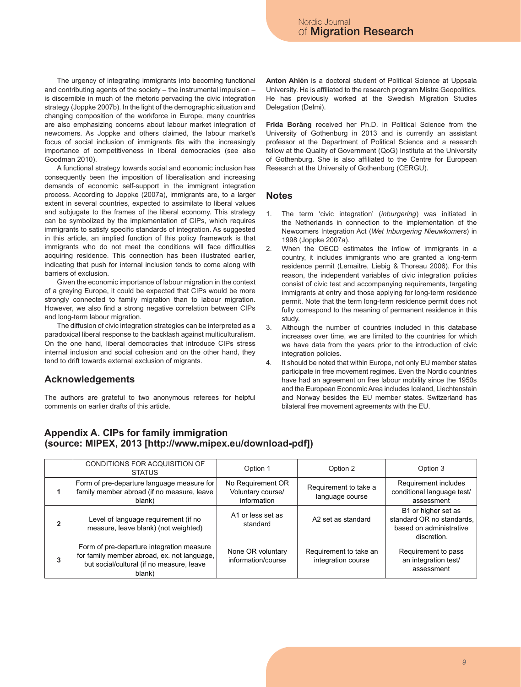The urgency of integrating immigrants into becoming functional and contributing agents of the society – the instrumental impulsion – is discernible in much of the rhetoric pervading the civic integration strategy (Joppke 2007b). In the light of the demographic situation and changing composition of the workforce in Europe, many countries are also emphasizing concerns about labour market integration of newcomers. As Joppke and others claimed, the labour market's focus of social inclusion of immigrants fits with the increasingly importance of competitiveness in liberal democracies (see also Goodman 2010).

A functional strategy towards social and economic inclusion has consequently been the imposition of liberalisation and increasing demands of economic self-support in the immigrant integration process. According to Joppke (2007a), immigrants are, to a larger extent in several countries, expected to assimilate to liberal values and subjugate to the frames of the liberal economy. This strategy can be symbolized by the implementation of CIPs, which requires immigrants to satisfy specific standards of integration. As suggested in this article, an implied function of this policy framework is that immigrants who do not meet the conditions will face difficulties acquiring residence. This connection has been illustrated earlier, indicating that push for internal inclusion tends to come along with barriers of exclusion.

Given the economic importance of labour migration in the context of a greying Europe, it could be expected that CIPs would be more strongly connected to family migration than to labour migration. However, we also find a strong negative correlation between CIPs and long-term labour migration.

The diffusion of civic integration strategies can be interpreted as a paradoxical liberal response to the backlash against multiculturalism. On the one hand, liberal democracies that introduce CIPs stress internal inclusion and social cohesion and on the other hand, they tend to drift towards external exclusion of migrants.

### **Acknowledgements**

The authors are grateful to two anonymous referees for helpful comments on earlier drafts of this article.

**Anton Ahlén** is a doctoral student of Political Science at Uppsala University. He is affiliated to the research program Mistra Geopolitics. He has previously worked at the Swedish Migration Studies Delegation (Delmi).

**Frida Boräng** received her Ph.D. in Political Science from the University of Gothenburg in 2013 and is currently an assistant professor at the Department of Political Science and a research fellow at the Quality of Government (QoG) Institute at the University of Gothenburg. She is also affiliated to the Centre for European Research at the University of Gothenburg (CERGU).

### **Notes**

- 1. The term 'civic integration' (*inburgering*) was initiated in the Netherlands in connection to the implementation of the Newcomers Integration Act (*Wet Inburgering Nieuwkomers*) in 1998 (Joppke 2007a).
- 2. When the OECD estimates the inflow of immigrants in a country, it includes immigrants who are granted a long-term residence permit (Lemaitre, Liebig & Thoreau 2006). For this reason, the independent variables of civic integration policies consist of civic test and accompanying requirements, targeting immigrants at entry and those applying for long-term residence permit. Note that the term long-term residence permit does not fully correspond to the meaning of permanent residence in this study.
- 3. Although the number of countries included in this database increases over time, we are limited to the countries for which we have data from the years prior to the introduction of civic integration policies.
- 4. It should be noted that within Europe, not only EU member states participate in free movement regimes. Even the Nordic countries have had an agreement on free labour mobility since the 1950s and the European Economic Area includes Iceland, Liechtenstein and Norway besides the EU member states. Switzerland has bilateral free movement agreements with the EU.

### **Appendix A. CIPs for family immigration (source: MIPEX, 2013 [http://www.mipex.eu/download-pdf])**

|   | CONDITIONS FOR ACQUISITION OF<br><b>STATUS</b>                                                                                                  | Option 1                                              | Option 2                                     | Option 3                                                                                   |
|---|-------------------------------------------------------------------------------------------------------------------------------------------------|-------------------------------------------------------|----------------------------------------------|--------------------------------------------------------------------------------------------|
|   | Form of pre-departure language measure for<br>family member abroad (if no measure, leave<br>blank)                                              | No Requirement OR<br>Voluntary course/<br>information | Requirement to take a<br>language course     | Requirement includes<br>conditional language test/<br>assessment                           |
|   | Level of language requirement (if no<br>measure, leave blank) (not weighted)                                                                    | A1 or less set as<br>standard                         | A2 set as standard                           | B1 or higher set as<br>standard OR no standards,<br>based on administrative<br>discretion. |
| 3 | Form of pre-departure integration measure<br>for family member abroad, ex. not language,<br>but social/cultural (if no measure, leave<br>blank) | None OR voluntary<br>information/course               | Requirement to take an<br>integration course | Requirement to pass<br>an integration test/<br>assessment                                  |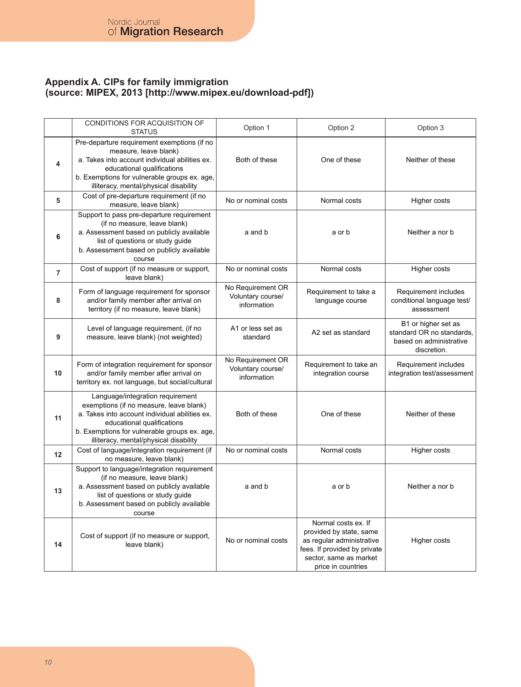## **Appendix A. CIPs for family immigration (source: MIPEX, 2013 [http://www.mipex.eu/download-pdf])**

|                | CONDITIONS FOR ACQUISITION OF<br><b>STATUS</b>                                                                                                                                                                                                        | Option 1                                              | Option 2                                                                                                                                                    | Option 3                                                                                   |
|----------------|-------------------------------------------------------------------------------------------------------------------------------------------------------------------------------------------------------------------------------------------------------|-------------------------------------------------------|-------------------------------------------------------------------------------------------------------------------------------------------------------------|--------------------------------------------------------------------------------------------|
| 4              | Pre-departure requirement exemptions (if no<br>measure, leave blank)<br>a. Takes into account individual abilities ex.<br>educational qualifications<br>b. Exemptions for vulnerable groups ex. age,<br>illiteracy, mental/physical disability        | Both of these                                         | One of these                                                                                                                                                | Neither of these                                                                           |
| 5              | Cost of pre-departure requirement (if no<br>measure, leave blank)                                                                                                                                                                                     | No or nominal costs                                   | Normal costs                                                                                                                                                | Higher costs                                                                               |
| 6              | Support to pass pre-departure requirement<br>(if no measure, leave blank)<br>a. Assessment based on publicly available<br>list of questions or study guide<br>b. Assessment based on publicly available<br>course                                     | a and b                                               | a or b                                                                                                                                                      | Neither a nor b                                                                            |
| $\overline{7}$ | Cost of support (if no measure or support,<br>leave blank)                                                                                                                                                                                            | No or nominal costs                                   | Normal costs                                                                                                                                                | Higher costs                                                                               |
| 8              | Form of language requirement for sponsor<br>and/or family member after arrival on<br>territory (if no measure, leave blank)                                                                                                                           | No Requirement OR<br>Voluntary course/<br>information | Requirement to take a<br>language course                                                                                                                    | Requirement includes<br>conditional language test/<br>assessment                           |
| 9              | Level of language requirement, (if no<br>measure, leave blank) (not weighted)                                                                                                                                                                         | A1 or less set as<br>standard                         | A2 set as standard                                                                                                                                          | B1 or higher set as<br>standard OR no standards.<br>based on administrative<br>discretion. |
| 10             | Form of integration requirement for sponsor<br>and/or family member after arrival on<br>territory ex. not language, but social/cultural                                                                                                               | No Requirement OR<br>Voluntary course/<br>information | Requirement to take an<br>integration course                                                                                                                | Requirement includes<br>integration test/assessment                                        |
| 11             | Language/integration requirement<br>exemptions (if no measure, leave blank)<br>a. Takes into account individual abilities ex.<br>educational qualifications<br>b. Exemptions for vulnerable groups ex. age,<br>illiteracy, mental/physical disability | Both of these                                         | One of these                                                                                                                                                | Neither of these                                                                           |
| 12             | Cost of language/integration requirement (if<br>no measure, leave blank)                                                                                                                                                                              | No or nominal costs                                   | Normal costs                                                                                                                                                | Higher costs                                                                               |
| 13             | Support to language/integration requirement<br>(if no measure, leave blank)<br>a. Assessment based on publicly available<br>list of questions or study guide<br>b. Assessment based on publicly available<br>course                                   | a and b                                               | a or b                                                                                                                                                      | Neither a nor b                                                                            |
| 14             | Cost of support (if no measure or support,<br>leave blank)                                                                                                                                                                                            | No or nominal costs                                   | Normal costs ex. If<br>provided by state, same<br>as regular administrative<br>fees. If provided by private<br>sector, same as market<br>price in countries | Higher costs                                                                               |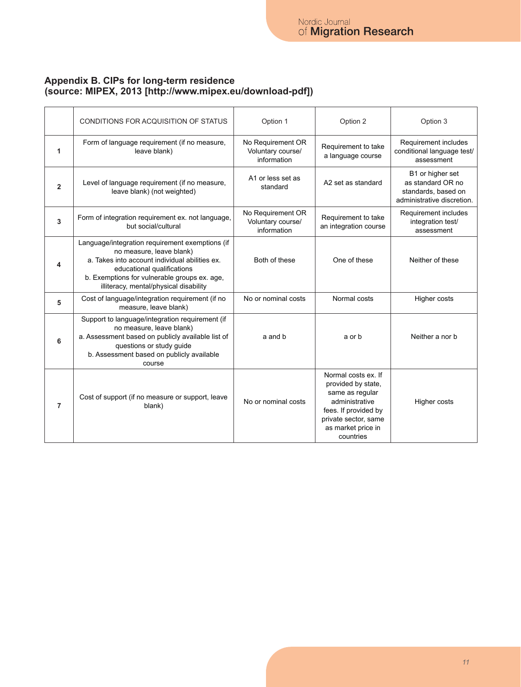## **Appendix B. CIPs for long-term residence (source: MIPEX, 2013 [http://www.mipex.eu/download-pdf])**

|                | CONDITIONS FOR ACQUISITION OF STATUS                                                                                                                                                                                                                  | Option 1                                              | Option 2                                                                                                                                                          | Option 3                                                                                   |
|----------------|-------------------------------------------------------------------------------------------------------------------------------------------------------------------------------------------------------------------------------------------------------|-------------------------------------------------------|-------------------------------------------------------------------------------------------------------------------------------------------------------------------|--------------------------------------------------------------------------------------------|
| 1              | Form of language requirement (if no measure,<br>leave blank)                                                                                                                                                                                          | No Requirement OR<br>Voluntary course/<br>information | Requirement to take<br>a language course                                                                                                                          | Requirement includes<br>conditional language test/<br>assessment                           |
| $\overline{2}$ | Level of language requirement (if no measure,<br>leave blank) (not weighted)                                                                                                                                                                          | A1 or less set as<br>standard                         | A2 set as standard                                                                                                                                                | B1 or higher set<br>as standard OR no<br>standards, based on<br>administrative discretion. |
| 3              | Form of integration requirement ex. not language,<br>but social/cultural                                                                                                                                                                              | No Requirement OR<br>Voluntary course/<br>information | Requirement to take<br>an integration course                                                                                                                      | Requirement includes<br>integration test/<br>assessment                                    |
| 4              | Language/integration requirement exemptions (if<br>no measure, leave blank)<br>a. Takes into account individual abilities ex.<br>educational qualifications<br>b. Exemptions for vulnerable groups ex. age,<br>illiteracy, mental/physical disability | Both of these                                         | One of these                                                                                                                                                      | Neither of these                                                                           |
| 5              | Cost of language/integration requirement (if no<br>measure, leave blank)                                                                                                                                                                              | No or nominal costs                                   | Normal costs                                                                                                                                                      | Higher costs                                                                               |
| 6              | Support to language/integration requirement (if<br>no measure, leave blank)<br>a. Assessment based on publicly available list of<br>questions or study quide<br>b. Assessment based on publicly available<br>course                                   | a and b                                               | a or b                                                                                                                                                            | Neither a nor b                                                                            |
| $\overline{7}$ | Cost of support (if no measure or support, leave<br>blank)                                                                                                                                                                                            | No or nominal costs                                   | Normal costs ex. If<br>provided by state,<br>same as regular<br>administrative<br>fees. If provided by<br>private sector, same<br>as market price in<br>countries | Higher costs                                                                               |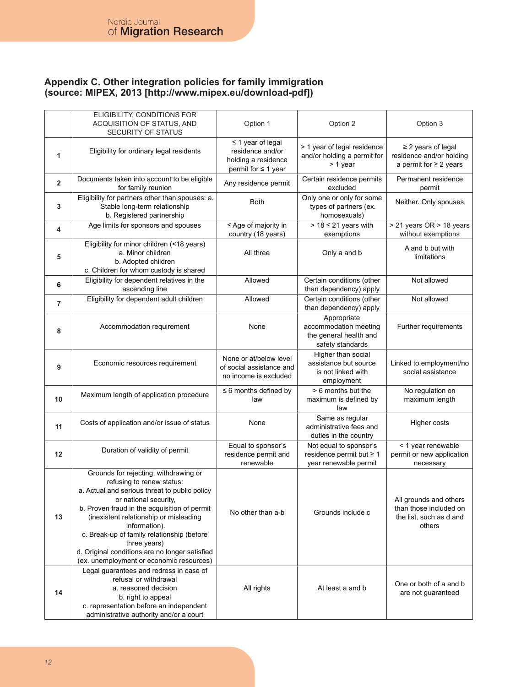## **Appendix C. Other integration policies for family immigration (source: MIPEX, 2013 [http://www.mipex.eu/download-pdf])**

|                | ELIGIBILITY, CONDITIONS FOR<br>ACQUISITION OF STATUS, AND<br>SECURITY OF STATUS                                                                                                                                                                                                                                                                                                                                     | Option 1                                                                                      | Option 2                                                                           | Option 3                                                                              |
|----------------|---------------------------------------------------------------------------------------------------------------------------------------------------------------------------------------------------------------------------------------------------------------------------------------------------------------------------------------------------------------------------------------------------------------------|-----------------------------------------------------------------------------------------------|------------------------------------------------------------------------------------|---------------------------------------------------------------------------------------|
| 1              | Eligibility for ordinary legal residents                                                                                                                                                                                                                                                                                                                                                                            | $\leq$ 1 year of legal<br>residence and/or<br>holding a residence<br>permit for $\leq 1$ year | > 1 year of legal residence<br>and/or holding a permit for<br>> 1 year             | $\geq$ 2 years of legal<br>residence and/or holding<br>a permit for $\geq 2$ years    |
| $\overline{2}$ | Documents taken into account to be eligible<br>for family reunion                                                                                                                                                                                                                                                                                                                                                   | Any residence permit                                                                          | Certain residence permits<br>excluded                                              | Permanent residence<br>permit                                                         |
| 3              | Eligibility for partners other than spouses: a.<br>Stable long-term relationship<br>b. Registered partnership                                                                                                                                                                                                                                                                                                       | <b>Both</b>                                                                                   | Only one or only for some<br>types of partners (ex.<br>homosexuals)                | Neither. Only spouses.                                                                |
| 4              | Age limits for sponsors and spouses                                                                                                                                                                                                                                                                                                                                                                                 | ≤ Age of majority in<br>country (18 years)                                                    | $> 18 \leq 21$ years with<br>exemptions                                            | > 21 years OR > 18 years<br>without exemptions                                        |
| 5              | Eligibility for minor children (<18 years)<br>a. Minor children<br>b. Adopted children<br>c. Children for whom custody is shared                                                                                                                                                                                                                                                                                    | All three                                                                                     | Only a and b                                                                       | A and b but with<br>limitations                                                       |
| 6              | Eligibility for dependent relatives in the<br>ascending line                                                                                                                                                                                                                                                                                                                                                        | Allowed                                                                                       | Certain conditions (other<br>than dependency) apply                                | Not allowed                                                                           |
| $\overline{7}$ | Eligibility for dependent adult children                                                                                                                                                                                                                                                                                                                                                                            | Allowed                                                                                       | Certain conditions (other<br>than dependency) apply                                | Not allowed                                                                           |
| 8              | Accommodation requirement                                                                                                                                                                                                                                                                                                                                                                                           | None                                                                                          | Appropriate<br>accommodation meeting<br>the general health and<br>safety standards | Further requirements                                                                  |
| 9              | Economic resources requirement                                                                                                                                                                                                                                                                                                                                                                                      | None or at/below level<br>of social assistance and<br>no income is excluded                   | Higher than social<br>assistance but source<br>is not linked with<br>employment    | Linked to employment/no<br>social assistance                                          |
| 10             | Maximum length of application procedure                                                                                                                                                                                                                                                                                                                                                                             | $\leq 6$ months defined by<br>law                                                             | > 6 months but the<br>maximum is defined by<br>law                                 | No regulation on<br>maximum length                                                    |
| 11             | Costs of application and/or issue of status                                                                                                                                                                                                                                                                                                                                                                         | None                                                                                          | Same as regular<br>administrative fees and<br>duties in the country                | Higher costs                                                                          |
| 12             | Duration of validity of permit                                                                                                                                                                                                                                                                                                                                                                                      | Equal to sponsor's<br>residence permit and<br>renewable                                       | Not equal to sponsor's<br>residence permit but $\geq 1$<br>year renewable permit   | < 1 year renewable<br>permit or new application<br>necessary                          |
| 13             | Grounds for rejecting, withdrawing or<br>refusing to renew status:<br>a. Actual and serious threat to public policy<br>or national security,<br>b. Proven fraud in the acquisition of permit<br>(inexistent relationship or misleading<br>information).<br>c. Break-up of family relationship (before<br>three years)<br>d. Original conditions are no longer satisfied<br>(ex. unemployment or economic resources) | No other than a-b                                                                             | Grounds include c                                                                  | All grounds and others<br>than those included on<br>the list, such as d and<br>others |
| 14             | Legal guarantees and redress in case of<br>refusal or withdrawal<br>a. reasoned decision<br>b. right to appeal<br>c. representation before an independent<br>administrative authority and/or a court                                                                                                                                                                                                                | All rights                                                                                    | At least a and b                                                                   | One or both of a and b<br>are not guaranteed                                          |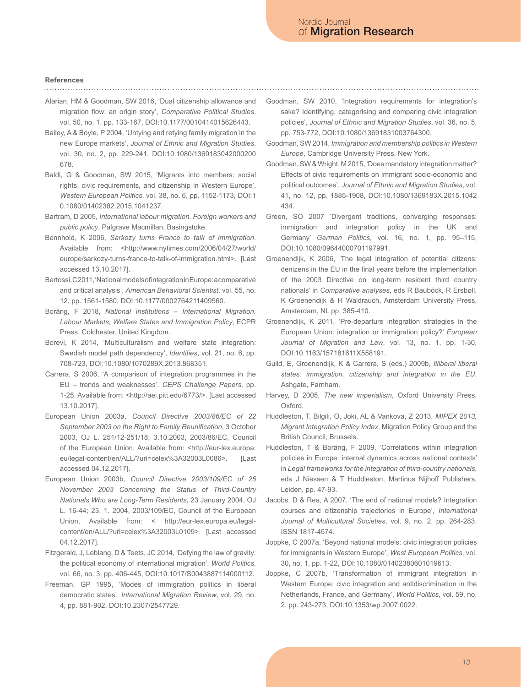# **References**

- Alarian, HM & Goodman, SW 2016, 'Dual citizenship allowance and migration flow: an origin story', *Comparative Political Studies*, vol. 50, no. 1, pp. 133-167, DOI:10.1177/0010414015626443.
- Bailey, A & Boyle, P 2004, 'Untying and retying family migration in the new Europe markets', *Journal of Ethnic and Migration Studies*, vol. 30, no. 2, pp. 229-241, DOI:10.1080/1369183042000200 678.
- Baldi, G & Goodman, SW 2015, 'Migrants into members: social rights, civic requirements, and citizenship in Western Europe', *Western European Politics*, vol. 38, no. 6, pp. 1152-1173, DOI:1 0.1080/01402382.2015.1041237.
- Bartram, D 2005, *International labour migration. Foreign workers and public policy*, Palgrave Macmillan, Basingstoke.
- Bennhold, K 2006, *Sarkozy turns France to talk of immigration*. Available from: <http://www.nytimes.com/2006/04/27/world/ europe/sarkozy-turns-france-to-talk-of-immigration.html>. [Last accessed 13.10.2017].
- Bertossi, C 2011, 'National models of integration in Europe: a comparative and critical analysis', *American Behavioral Scientist*, vol. 55, no. 12, pp. 1561-1580, DOI:10.1177/0002764211409560.
- Boräng, F 2018, *National Institutions International Migration. Labour Markets, Welfare States and Immigration Policy*, ECPR Press, Colchester, United Kingdom.
- Borevi, K 2014, 'Multiculturalism and welfare state integration: Swedish model path dependency', *Identities*, vol. 21, no. 6, pp. 708-723, DOI:10.1080/1070289X.2013.868351.
- Carrera, S 2006, 'A comparison of integration programmes in the EU – trends and weaknesses'. *CEPS Challenge Papers*, pp. 1-25. Available from: <http://aei.pitt.edu/6773/>. [Last accessed 13.10.2017].
- European Union 2003a, *Council Directive 2003/86/EC of 22 September 2003 on the Right to Family Reunification*, 3 October 2003, OJ L. 251/12-251/18; 3.10.2003, 2003/86/EC, Council of the European Union, Available from: <http://eur-lex.europa. eu/legal-content/en/ALL/?uri=celex%3A32003L0086>. [Last accessed 04.12.2017].
- European Union 2003b, *Council Directive 2003/109/EC of 25 November 2003 Concerning the Status of Third-Country Nationals Who are Long-Term Residents*, 23 January 2004, OJ L. 16-44; 23. 1. 2004, 2003/109/EC, Council of the European Union, Available from: < http://eur-lex.europa.eu/legalcontent/en/ALL/?uri=celex%3A32003L0109>. [Last accessed 04.12.2017].
- Fitzgerald, J, Leblang, D & Teets, JC 2014, 'Defying the law of gravity: the political economy of international migration', *World Politics*, vol. 66, no. 3, pp. 406-445, DOI:10.1017/S0043887114000112.
- Freeman, GP 1995, 'Modes of immigration politics in liberal democratic states', *International Migration Review*, vol. 29, no. 4, pp. 881-902, DOI:10.2307/2547729.
- Goodman, SW 2010, 'Integration requirements for integration's sake? Identifying, categorising and comparing civic integration policies', *Journal of Ethnic and Migration Studies*, vol. 36, no. 5, pp. 753-772, DOI:10.1080/13691831003764300.
- Goodman, SW 2014, *Immigration and membership politics in Western Europe*, Cambridge University Press, New York.
- Goodman, SW & Wright, M 2015, 'Does mandatory integration matter? Effects of civic requirements on immigrant socio-economic and political outcomes', *Journal of Ethnic and Migration Studies*, vol. 41, no. 12, pp. 1885-1908, DOI:10.1080/1369183X.2015.1042 434.
- Green, SO 2007 'Divergent traditions, converging responses: immigration and integration policy in the UK and Germany' *German Politics*, vol. 16, no. 1, pp. 95–115, DOI:10.1080/09644000701197991.
- Groenendijk, K 2006, 'The legal integration of potential citizens: denizens in the EU in the final years before the implementation of the 2003 Directive on long-term resident third country nationals' in *Comparative analyses*, eds R Bauböck, R Ersbøll, K Groenendijk & H Waldrauch, Amsterdam University Press, Amsterdam, NL pp. 385-410.
- Groenendijk, K 2011, 'Pre-departure integration strategies in the European Union: integration or immigration policy?' *European Journal of Migration and Law*, vol. 13, no. 1, pp. 1-30, DOI:10.1163/157181611X558191.
- Guild, E, Groenendijk, K & Carrera, S (eds.) 2009b, *Illiberal liberal states: immigration, citizenship and integration in the EU*, Ashgate, Farnham.
- Harvey, D 2005, *The new imperialism*, Oxford University Press, Oxford.
- Huddleston, T, Bilgili, O, Joki, AL & Vankova, Z 2013, *MIPEX 2013, Migrant Integration Policy Index*, Migration Policy Group and the British Council, Brussels.
- Huddleston, T & Boräng, F 2009, 'Correlations within integration policies in Europe: internal dynamics across national contexts' in *Legal frameworks for the integration of third-country nationals*, eds J Niessen & T Huddleston, Martinus Nijhoff Publishers, Leiden, pp. 47-93.
- Jacobs, D & Rea, A 2007, 'The end of national models? Integration courses and citizenship trajectories in Europe', *International Journal of Multicultural Societies*, vol. 9, no. 2, pp. 264-283. ISSN 1817-4574.
- Joppke, C 2007a, 'Beyond national models: civic integration policies for immigrants in Western Europe', *West European Politics*, vol. 30, no. 1, pp. 1-22, DOI:10.1080/01402380601019613.
- Joppke, C 2007b, 'Transformation of immigrant integration in Western Europe: civic integration and antidiscrimination in the Netherlands, France, and Germany', *World Politics,* vol. 59, no. 2, pp. 243-273, DOI:10.1353/wp.2007.0022.